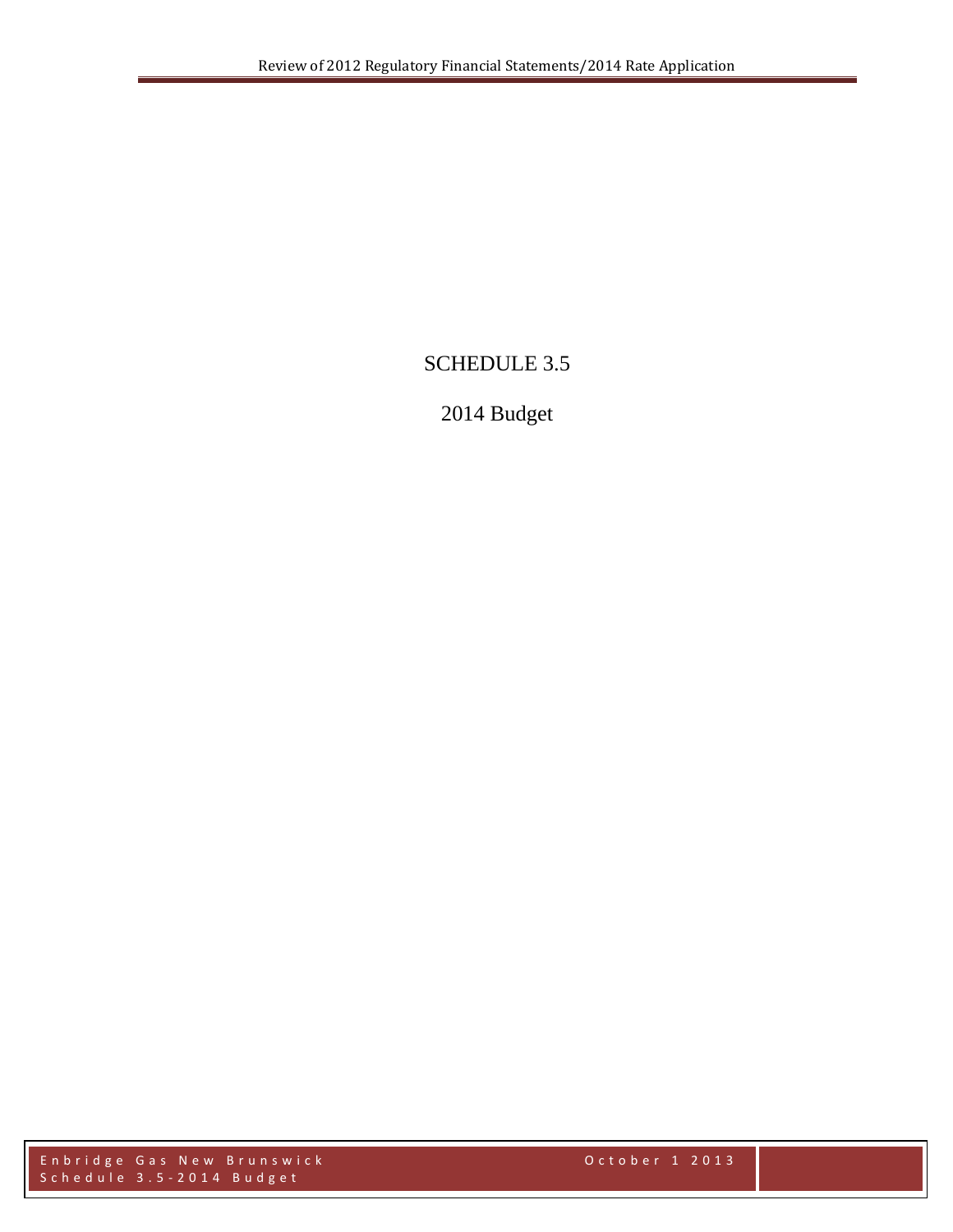# SCHEDULE 3.5

# 2014 Budget

En bridge Gas New Brunswick the state of the control october 1 2013 S c h e d u l e 3 . 5 - 2 0 1 4 B u d g e t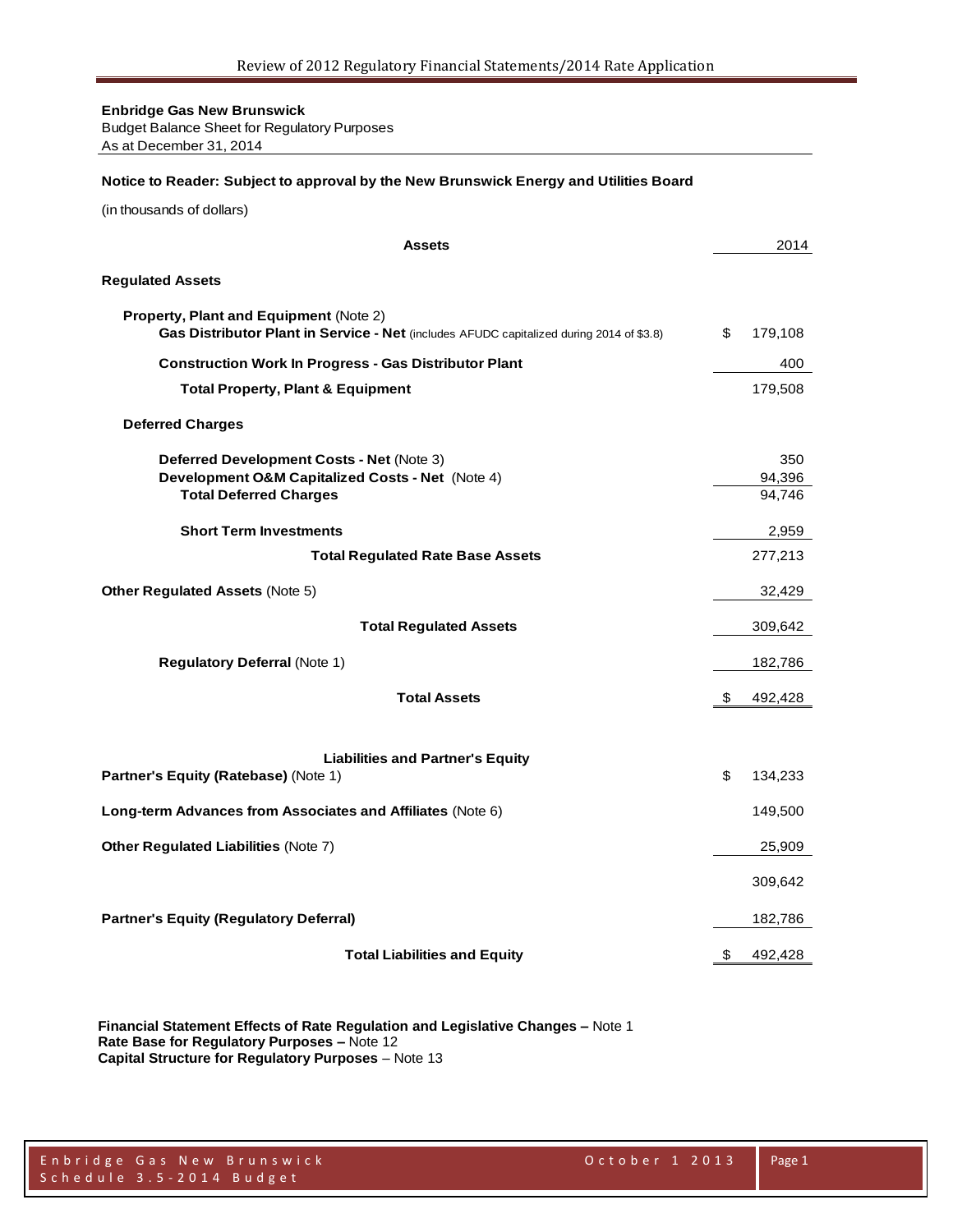Budget Balance Sheet for Regulatory Purposes As at December 31, 2014

#### **Notice to Reader: Subject to approval by the New Brunswick Energy and Utilities Board**

(in thousands of dollars)

| <b>Assets</b>                                                                                                                      | 2014             |
|------------------------------------------------------------------------------------------------------------------------------------|------------------|
| <b>Regulated Assets</b>                                                                                                            |                  |
| Property, Plant and Equipment (Note 2)<br>Gas Distributor Plant in Service - Net (includes AFUDC capitalized during 2014 of \$3.8) | \$<br>179,108    |
| <b>Construction Work In Progress - Gas Distributor Plant</b>                                                                       | 400              |
| <b>Total Property, Plant &amp; Equipment</b>                                                                                       | 179,508          |
| <b>Deferred Charges</b>                                                                                                            |                  |
| Deferred Development Costs - Net (Note 3)                                                                                          | 350              |
| Development O&M Capitalized Costs - Net (Note 4)<br><b>Total Deferred Charges</b>                                                  | 94,396<br>94,746 |
|                                                                                                                                    |                  |
| <b>Short Term Investments</b>                                                                                                      | 2,959            |
| <b>Total Regulated Rate Base Assets</b>                                                                                            | 277,213          |
| <b>Other Regulated Assets (Note 5)</b>                                                                                             | 32,429           |
| <b>Total Regulated Assets</b>                                                                                                      | 309,642          |
| <b>Regulatory Deferral (Note 1)</b>                                                                                                | 182,786          |
| <b>Total Assets</b>                                                                                                                | \$<br>492,428    |
|                                                                                                                                    |                  |
| <b>Liabilities and Partner's Equity</b>                                                                                            |                  |
| Partner's Equity (Ratebase) (Note 1)                                                                                               | \$<br>134,233    |
| Long-term Advances from Associates and Affiliates (Note 6)                                                                         | 149,500          |
| <b>Other Regulated Liabilities (Note 7)</b>                                                                                        | 25,909           |
|                                                                                                                                    | 309,642          |
| <b>Partner's Equity (Regulatory Deferral)</b>                                                                                      | 182,786          |
| <b>Total Liabilities and Equity</b>                                                                                                | \$<br>492,428    |

**Financial Statement Effects of Rate Regulation and Legislative Changes –** Note 1 **Rate Base for Regulatory Purposes –** Note 12 **Capital Structure for Regulatory Purposes** – Note 13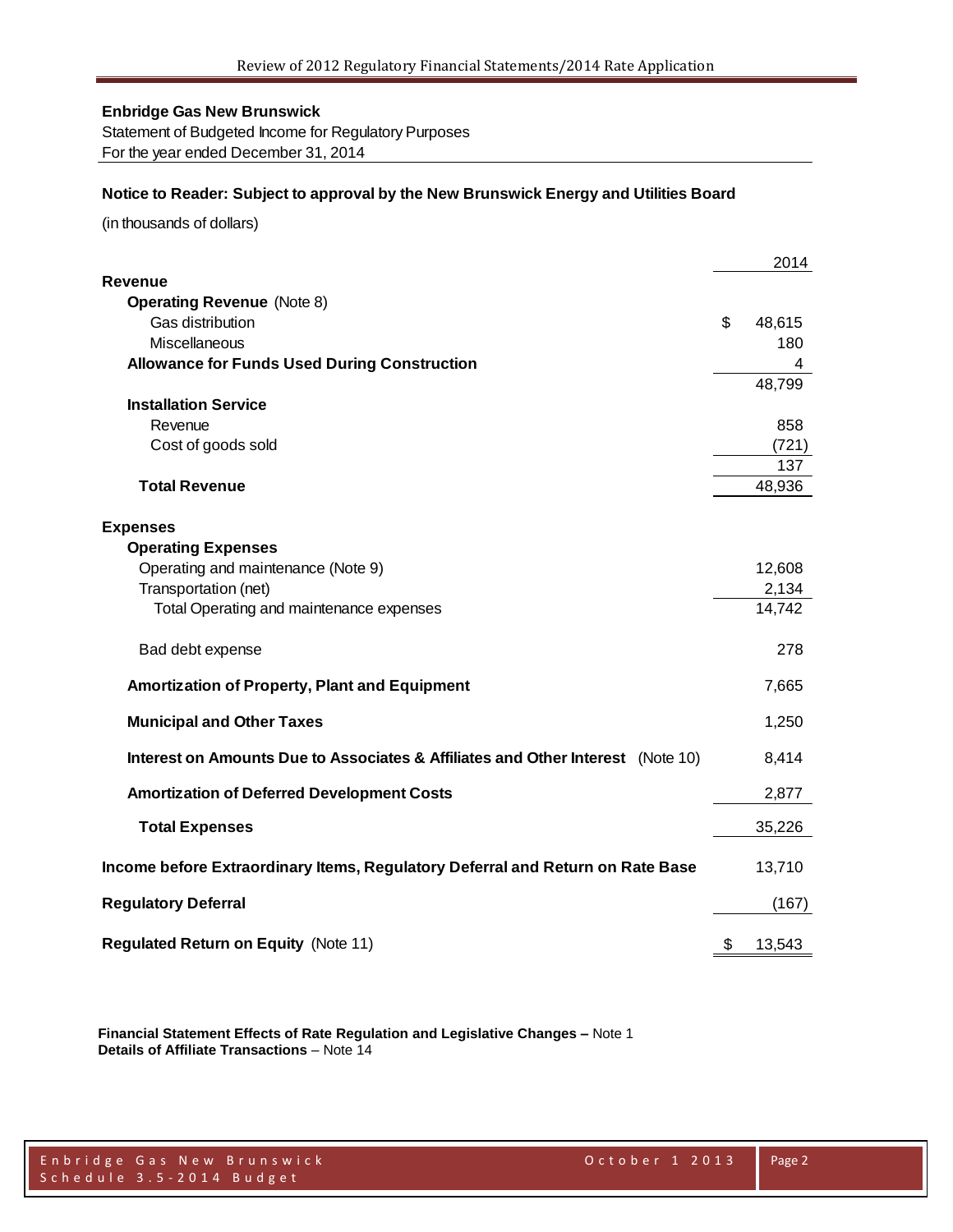Statement of Budgeted Income for Regulatory Purposes For the year ended December 31, 2014

#### **Notice to Reader: Subject to approval by the New Brunswick Energy and Utilities Board**

(in thousands of dollars)

|                                                                                 | 2014         |
|---------------------------------------------------------------------------------|--------------|
| <b>Revenue</b>                                                                  |              |
| <b>Operating Revenue (Note 8)</b>                                               |              |
| Gas distribution                                                                | \$<br>48,615 |
| Miscellaneous                                                                   | 180          |
| <b>Allowance for Funds Used During Construction</b>                             | 4            |
| <b>Installation Service</b>                                                     | 48,799       |
| Revenue                                                                         | 858          |
| Cost of goods sold                                                              | (721)        |
|                                                                                 | 137          |
| <b>Total Revenue</b>                                                            | 48,936       |
|                                                                                 |              |
| <b>Expenses</b>                                                                 |              |
| <b>Operating Expenses</b>                                                       |              |
| Operating and maintenance (Note 9)                                              | 12,608       |
| Transportation (net)                                                            | 2,134        |
| Total Operating and maintenance expenses                                        | 14,742       |
| Bad debt expense                                                                | 278          |
| <b>Amortization of Property, Plant and Equipment</b>                            | 7,665        |
| <b>Municipal and Other Taxes</b>                                                | 1,250        |
| Interest on Amounts Due to Associates & Affiliates and Other Interest (Note 10) | 8,414        |
| <b>Amortization of Deferred Development Costs</b>                               | 2,877        |
| <b>Total Expenses</b>                                                           | 35,226       |
| Income before Extraordinary Items, Regulatory Deferral and Return on Rate Base  | 13,710       |
| <b>Regulatory Deferral</b>                                                      | (167)        |
| <b>Regulated Return on Equity (Note 11)</b>                                     | \$<br>13,543 |

**Financial Statement Effects of Rate Regulation and Legislative Changes –** Note 1 **Details of Affiliate Transactions** – Note 14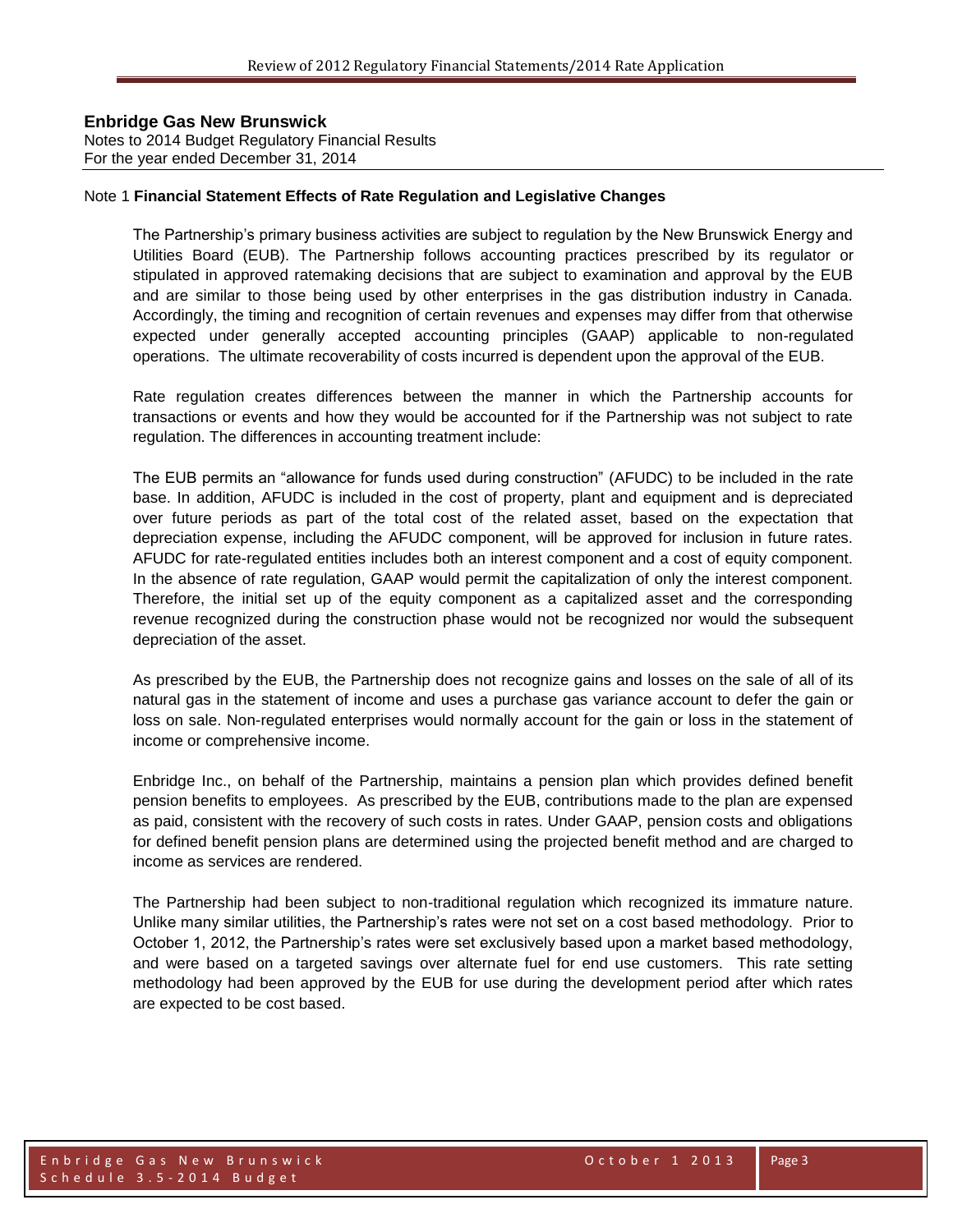#### **Enbridge Gas New Brunswick**  Notes to 2014 Budget Regulatory Financial Results

For the year ended December 31, 2014

#### Note 1 **Financial Statement Effects of Rate Regulation and Legislative Changes**

The Partnership's primary business activities are subject to regulation by the New Brunswick Energy and Utilities Board (EUB). The Partnership follows accounting practices prescribed by its regulator or stipulated in approved ratemaking decisions that are subject to examination and approval by the EUB and are similar to those being used by other enterprises in the gas distribution industry in Canada. Accordingly, the timing and recognition of certain revenues and expenses may differ from that otherwise expected under generally accepted accounting principles (GAAP) applicable to non-regulated operations. The ultimate recoverability of costs incurred is dependent upon the approval of the EUB.

Rate regulation creates differences between the manner in which the Partnership accounts for transactions or events and how they would be accounted for if the Partnership was not subject to rate regulation. The differences in accounting treatment include:

The EUB permits an "allowance for funds used during construction" (AFUDC) to be included in the rate base. In addition, AFUDC is included in the cost of property, plant and equipment and is depreciated over future periods as part of the total cost of the related asset, based on the expectation that depreciation expense, including the AFUDC component, will be approved for inclusion in future rates. AFUDC for rate-regulated entities includes both an interest component and a cost of equity component. In the absence of rate regulation, GAAP would permit the capitalization of only the interest component. Therefore, the initial set up of the equity component as a capitalized asset and the corresponding revenue recognized during the construction phase would not be recognized nor would the subsequent depreciation of the asset.

As prescribed by the EUB, the Partnership does not recognize gains and losses on the sale of all of its natural gas in the statement of income and uses a purchase gas variance account to defer the gain or loss on sale. Non-regulated enterprises would normally account for the gain or loss in the statement of income or comprehensive income.

Enbridge Inc., on behalf of the Partnership, maintains a pension plan which provides defined benefit pension benefits to employees. As prescribed by the EUB, contributions made to the plan are expensed as paid, consistent with the recovery of such costs in rates. Under GAAP, pension costs and obligations for defined benefit pension plans are determined using the projected benefit method and are charged to income as services are rendered.

The Partnership had been subject to non-traditional regulation which recognized its immature nature. Unlike many similar utilities, the Partnership's rates were not set on a cost based methodology. Prior to October 1, 2012, the Partnership's rates were set exclusively based upon a market based methodology, and were based on a targeted savings over alternate fuel for end use customers. This rate setting methodology had been approved by the EUB for use during the development period after which rates are expected to be cost based.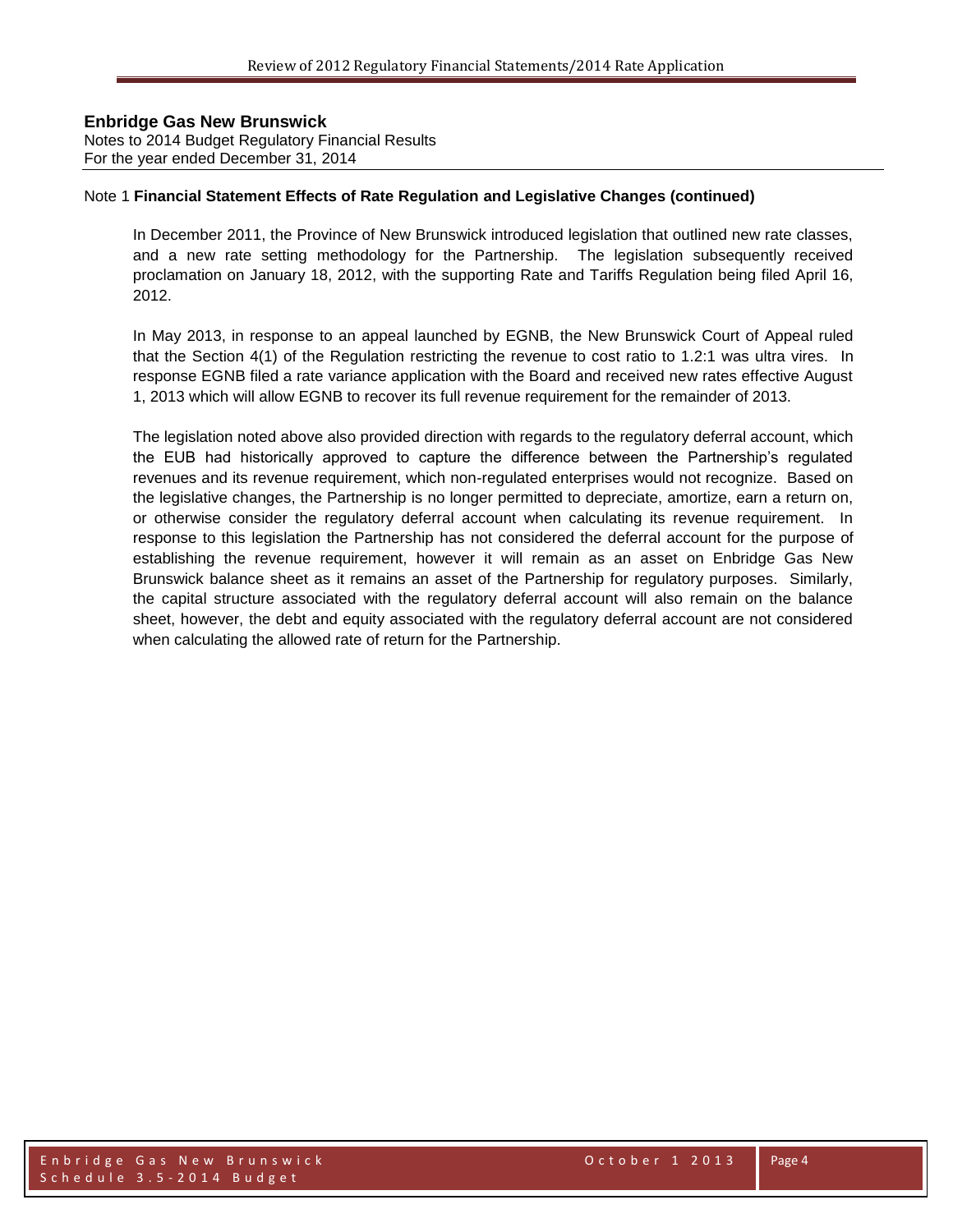Notes to 2014 Budget Regulatory Financial Results For the year ended December 31, 2014

#### Note 1 **Financial Statement Effects of Rate Regulation and Legislative Changes (continued)**

In December 2011, the Province of New Brunswick introduced legislation that outlined new rate classes, and a new rate setting methodology for the Partnership. The legislation subsequently received proclamation on January 18, 2012, with the supporting Rate and Tariffs Regulation being filed April 16, 2012.

In May 2013, in response to an appeal launched by EGNB, the New Brunswick Court of Appeal ruled that the Section 4(1) of the Regulation restricting the revenue to cost ratio to 1.2:1 was ultra vires. In response EGNB filed a rate variance application with the Board and received new rates effective August 1, 2013 which will allow EGNB to recover its full revenue requirement for the remainder of 2013.

The legislation noted above also provided direction with regards to the regulatory deferral account, which the EUB had historically approved to capture the difference between the Partnership's regulated revenues and its revenue requirement, which non-regulated enterprises would not recognize. Based on the legislative changes, the Partnership is no longer permitted to depreciate, amortize, earn a return on, or otherwise consider the regulatory deferral account when calculating its revenue requirement. In response to this legislation the Partnership has not considered the deferral account for the purpose of establishing the revenue requirement, however it will remain as an asset on Enbridge Gas New Brunswick balance sheet as it remains an asset of the Partnership for regulatory purposes. Similarly, the capital structure associated with the regulatory deferral account will also remain on the balance sheet, however, the debt and equity associated with the regulatory deferral account are not considered when calculating the allowed rate of return for the Partnership.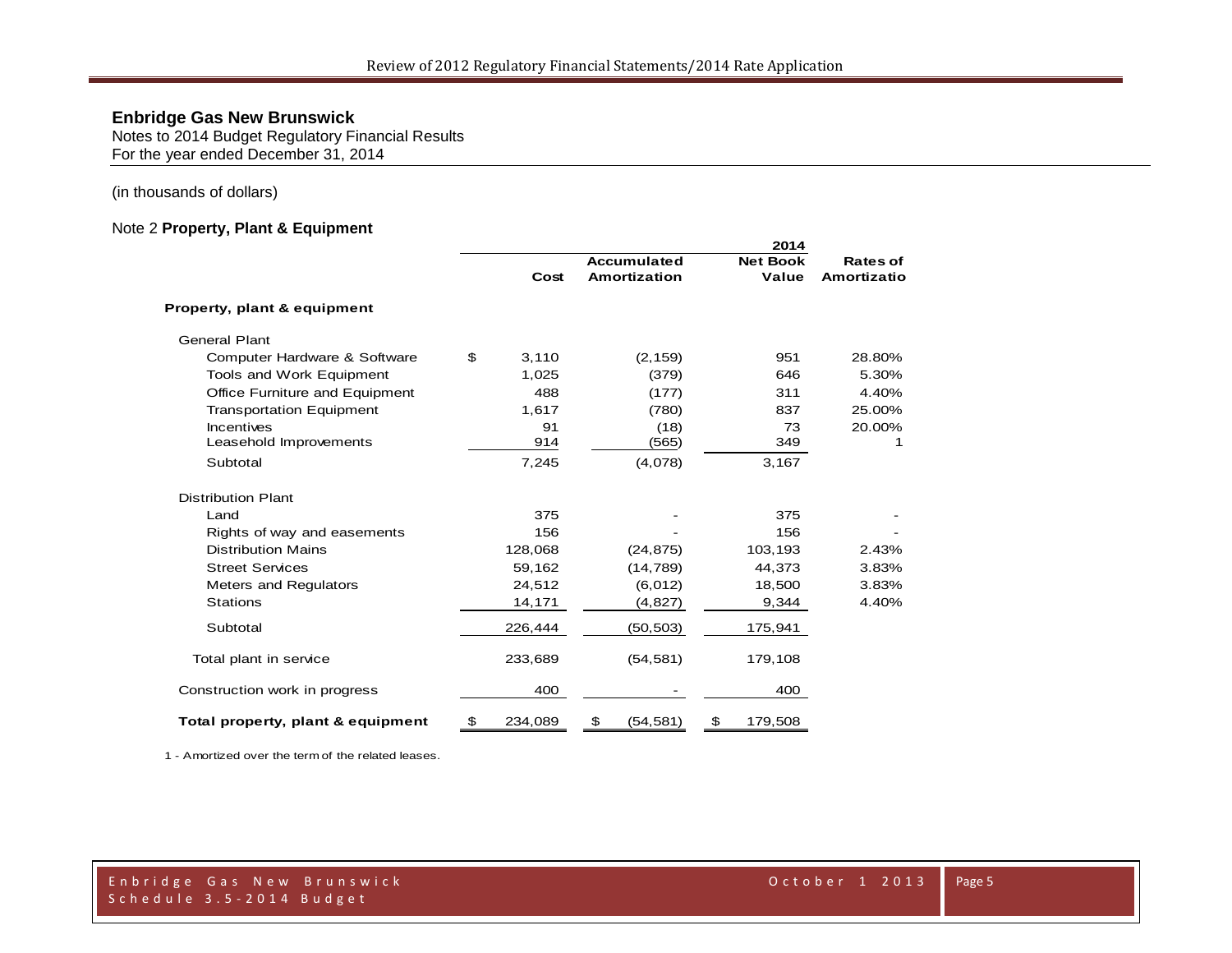Notes to 2014 Budget Regulatory Financial Results For the year ended December 31, 2014

#### (in thousands of dollars)

#### Note 2 **Property, Plant & Equipment**

|                                   |    | Cost    | <b>Accumulated</b><br><b>Amortization</b> | <b>Net Book</b><br>Value | <b>Rates of</b><br>Amortizatio |
|-----------------------------------|----|---------|-------------------------------------------|--------------------------|--------------------------------|
| Property, plant & equipment       |    |         |                                           |                          |                                |
| <b>General Plant</b>              |    |         |                                           |                          |                                |
| Computer Hardware & Software      | \$ | 3,110   | (2, 159)                                  | 951                      | 28.80%                         |
| Tools and Work Equipment          |    | 1,025   | (379)                                     | 646                      | 5.30%                          |
| Office Furniture and Equipment    |    | 488     | (177)                                     | 311                      | 4.40%                          |
| <b>Transportation Equipment</b>   |    | 1,617   | (780)                                     | 837                      | 25.00%                         |
| Incentives                        |    | 91      | (18)                                      | 73                       | 20.00%                         |
| Leasehold Improvements            |    | 914     | (565)                                     | 349                      | 1                              |
| Subtotal                          |    | 7,245   | (4,078)                                   | 3,167                    |                                |
| <b>Distribution Plant</b>         |    |         |                                           |                          |                                |
| Land                              |    | 375     |                                           | 375                      |                                |
| Rights of way and easements       |    | 156     |                                           | 156                      |                                |
| <b>Distribution Mains</b>         |    | 128,068 | (24, 875)                                 | 103,193                  | 2.43%                          |
| <b>Street Services</b>            |    | 59,162  | (14, 789)                                 | 44,373                   | 3.83%                          |
| Meters and Regulators             |    | 24,512  | (6,012)                                   | 18,500                   | 3.83%                          |
| <b>Stations</b>                   |    | 14,171  | (4, 827)                                  | 9,344                    | 4.40%                          |
| Subtotal                          |    | 226,444 | (50, 503)                                 | 175,941                  |                                |
| Total plant in service            |    | 233,689 | (54, 581)                                 | 179,108                  |                                |
| Construction work in progress     |    | 400     |                                           | 400                      |                                |
| Total property, plant & equipment | \$ | 234,089 | \$<br>(54, 581)                           | \$<br>179,508            |                                |

1 - Amortized over the term of the related leases.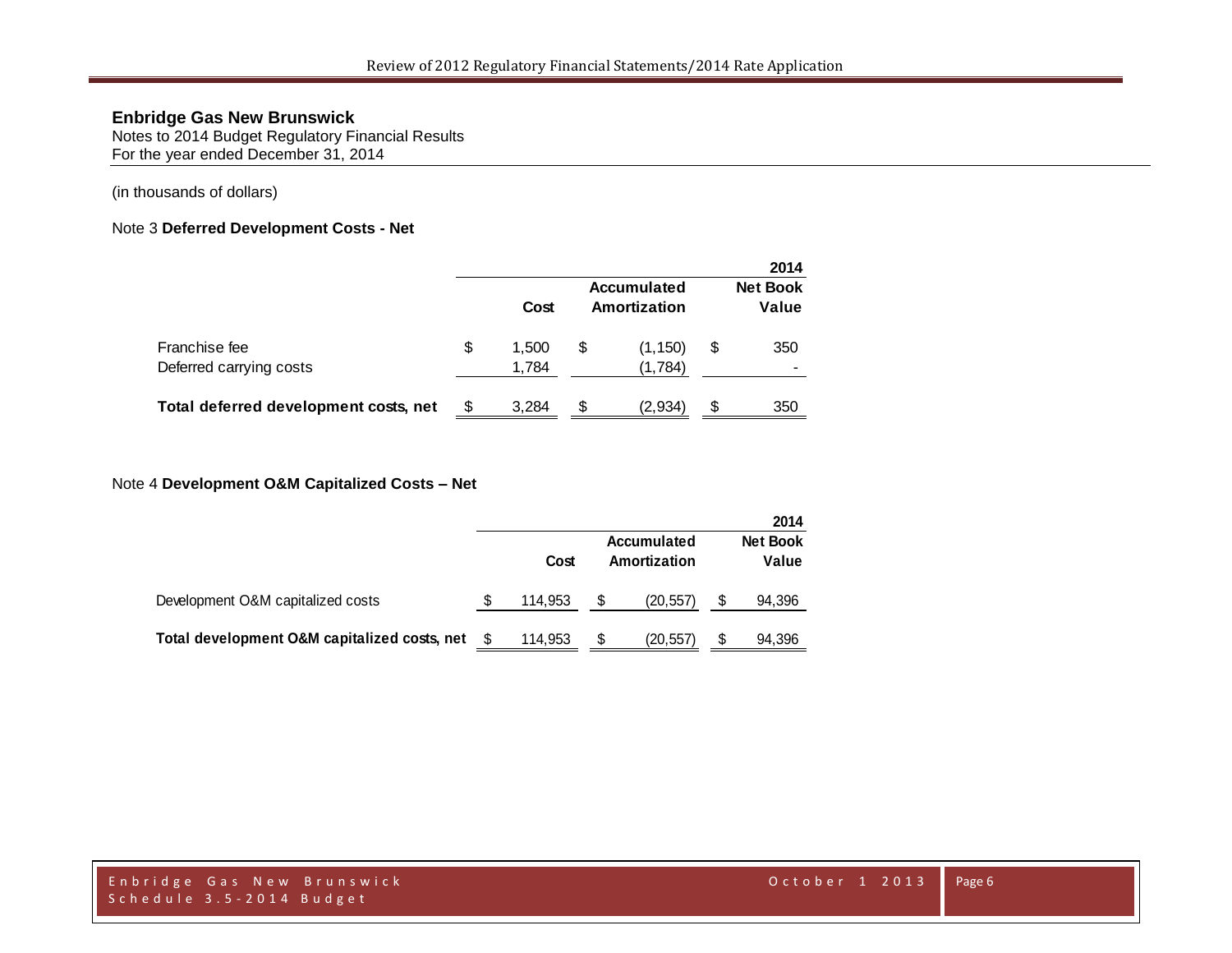Notes to 2014 Budget Regulatory Financial Results For the year ended December 31, 2014

#### (in thousands of dollars)

#### Note 3 **Deferred Development Costs - Net**

|                                          |                      |    |                             | 2014                     |
|------------------------------------------|----------------------|----|-----------------------------|--------------------------|
|                                          | Cost                 |    | Accumulated<br>Amortization | <b>Net Book</b><br>Value |
| Franchise fee<br>Deferred carrying costs | \$<br>1.500<br>1,784 | \$ | (1, 150)<br>(1,784)         | \$<br>350                |
| Total deferred development costs, net    | 3.284                | S  | (2,934)                     | \$<br>350                |

#### Note 4 **Development O&M Capitalized Costs – Net**

|                                              |         |   |                             |   | 2014                     |
|----------------------------------------------|---------|---|-----------------------------|---|--------------------------|
|                                              | Cost    |   | Accumulated<br>Amortization |   | <b>Net Book</b><br>Value |
| Development O&M capitalized costs            | 114.953 | S | (20, 557)                   |   | 94,396                   |
| Total development O&M capitalized costs, net | 114.953 | S | (20, 557)                   | S | 94,396                   |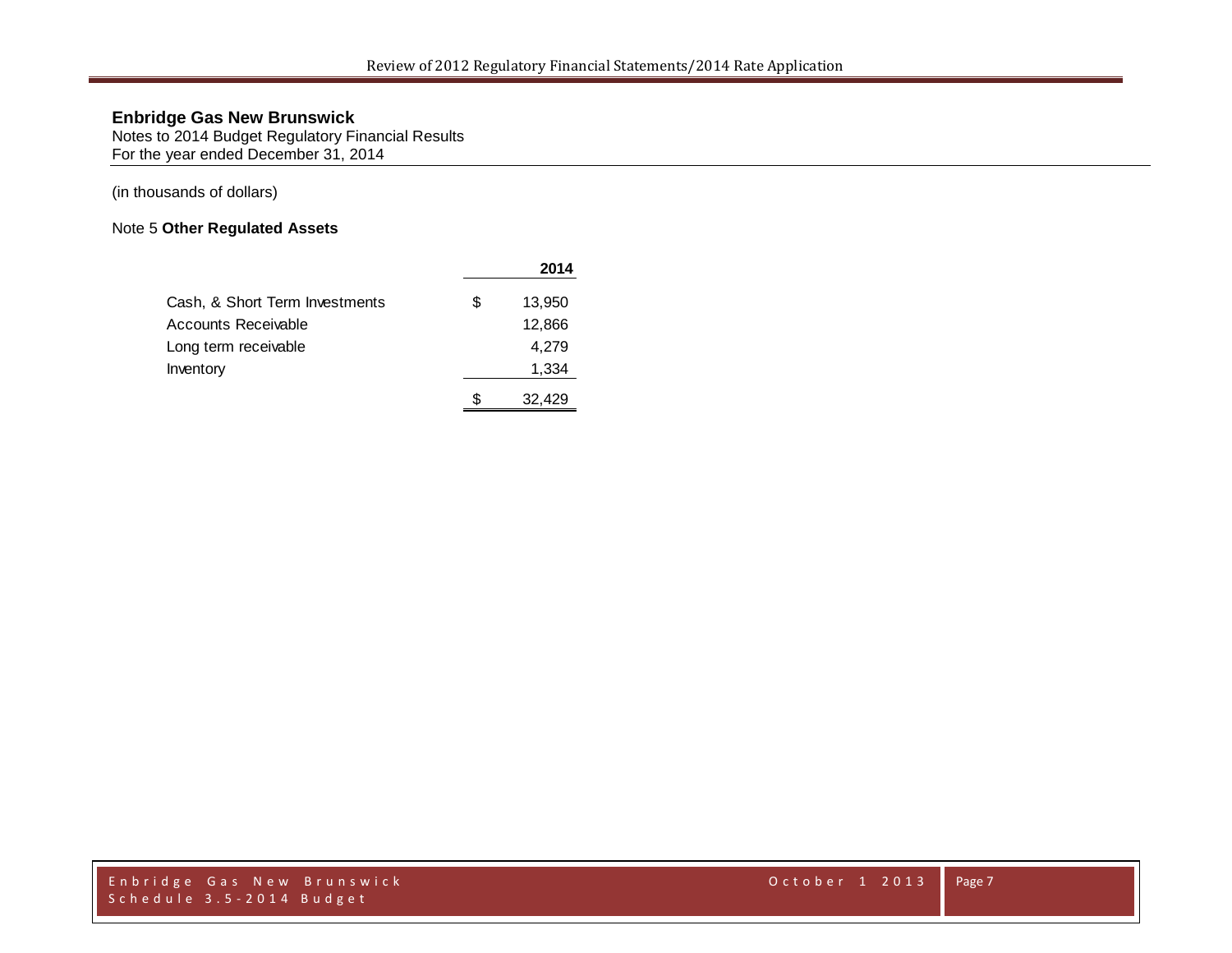Notes to 2014 Budget Regulatory Financial Results For the year ended December 31, 2014

(in thousands of dollars)

### Note 5 **Other Regulated Assets**

|                                |   | 2014   |
|--------------------------------|---|--------|
| Cash, & Short Term Investments | S | 13,950 |
| Accounts Receivable            |   | 12,866 |
| Long term receivable           |   | 4,279  |
| Inventory                      |   | 1,334  |
|                                |   | 32.429 |

Enbridge Gas New Brunswick **Enderson Controller and Controller** 2013 S c h e d u l e 3.5 - 2014 B u d g e t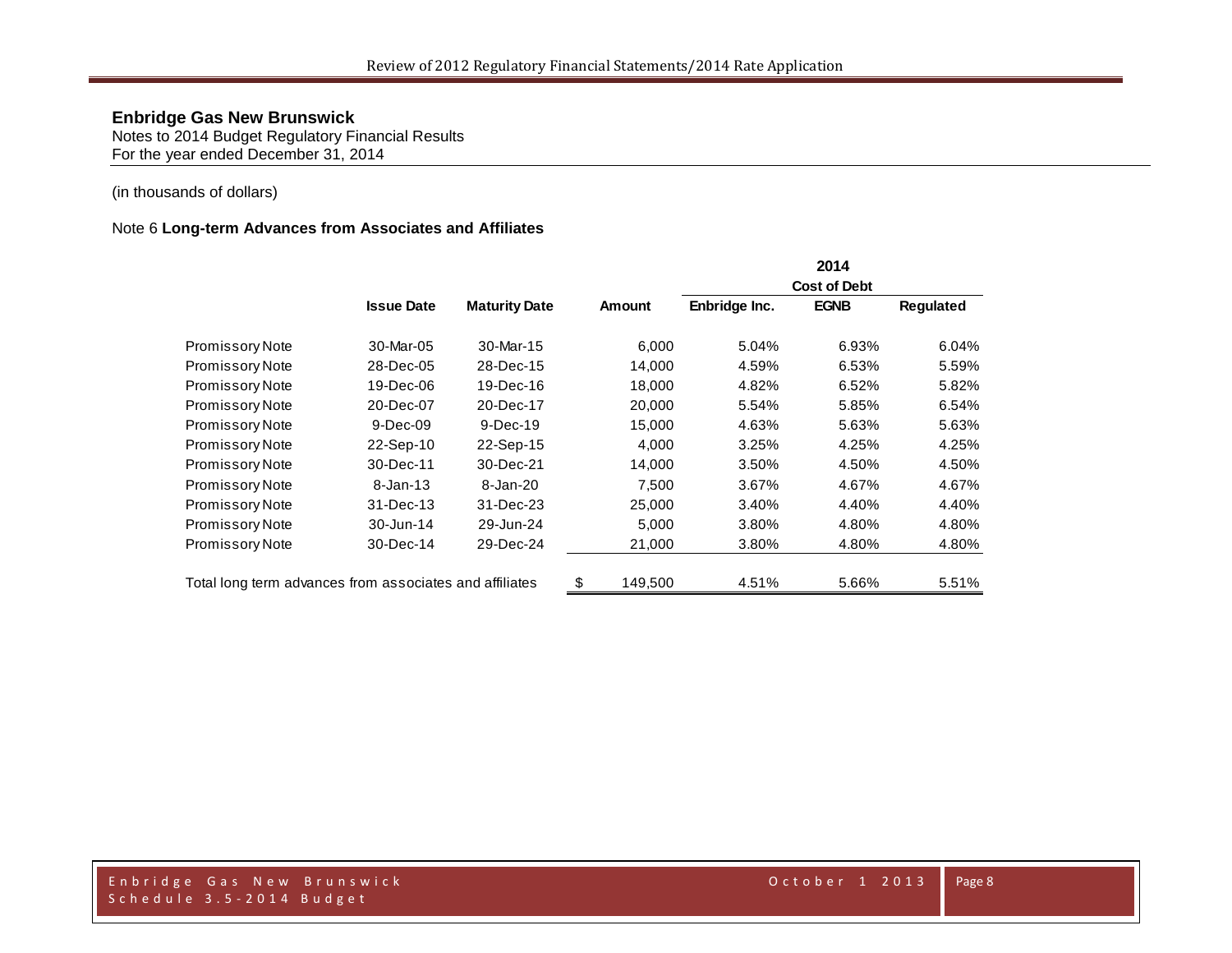Notes to 2014 Budget Regulatory Financial Results For the year ended December 31, 2014

#### (in thousands of dollars)

#### Note 6 **Long-term Advances from Associates and Affiliates**

|                                                         |                   |                      |               |               | 2014                |           |
|---------------------------------------------------------|-------------------|----------------------|---------------|---------------|---------------------|-----------|
|                                                         |                   |                      |               |               | <b>Cost of Debt</b> |           |
|                                                         | <b>Issue Date</b> | <b>Maturity Date</b> | <b>Amount</b> | Enbridge Inc. | <b>EGNB</b>         | Regulated |
| Promissory Note                                         | 30-Mar-05         | 30-Mar-15            | 6,000         | 5.04%         | 6.93%               | 6.04%     |
| Promissory Note                                         | 28-Dec-05         | 28-Dec-15            | 14,000        | 4.59%         | 6.53%               | 5.59%     |
| <b>Promissory Note</b>                                  | 19-Dec-06         | 19-Dec-16            | 18,000        | 4.82%         | 6.52%               | 5.82%     |
| <b>Promissory Note</b>                                  | 20-Dec-07         | 20-Dec-17            | 20,000        | 5.54%         | 5.85%               | 6.54%     |
| Promissory Note                                         | $9-Dec-09$        | $9-Dec-19$           | 15,000        | 4.63%         | 5.63%               | 5.63%     |
| Promissory Note                                         | 22-Sep-10         | 22-Sep-15            | 4,000         | 3.25%         | 4.25%               | 4.25%     |
| <b>Promissory Note</b>                                  | 30-Dec-11         | 30-Dec-21            | 14,000        | 3.50%         | 4.50%               | 4.50%     |
| <b>Promissory Note</b>                                  | $8 - Jan - 13$    | 8-Jan-20             | 7.500         | 3.67%         | 4.67%               | 4.67%     |
| <b>Promissory Note</b>                                  | 31-Dec-13         | 31-Dec-23            | 25,000        | 3.40%         | 4.40%               | 4.40%     |
| <b>Promissory Note</b>                                  | 30-Jun-14         | 29-Jun-24            | 5,000         | 3.80%         | 4.80%               | 4.80%     |
| <b>Promissory Note</b>                                  | 30-Dec-14         | 29-Dec-24            | 21,000        | 3.80%         | 4.80%               | 4.80%     |
| Total long term advances from associates and affiliates |                   |                      | \$<br>149,500 | 4.51%         | 5.66%               | 5.51%     |

Enbridge Gas New Brunswick **Enderson** October 1 2013 S c h e d u l e 3.5 - 2014 B u d g e t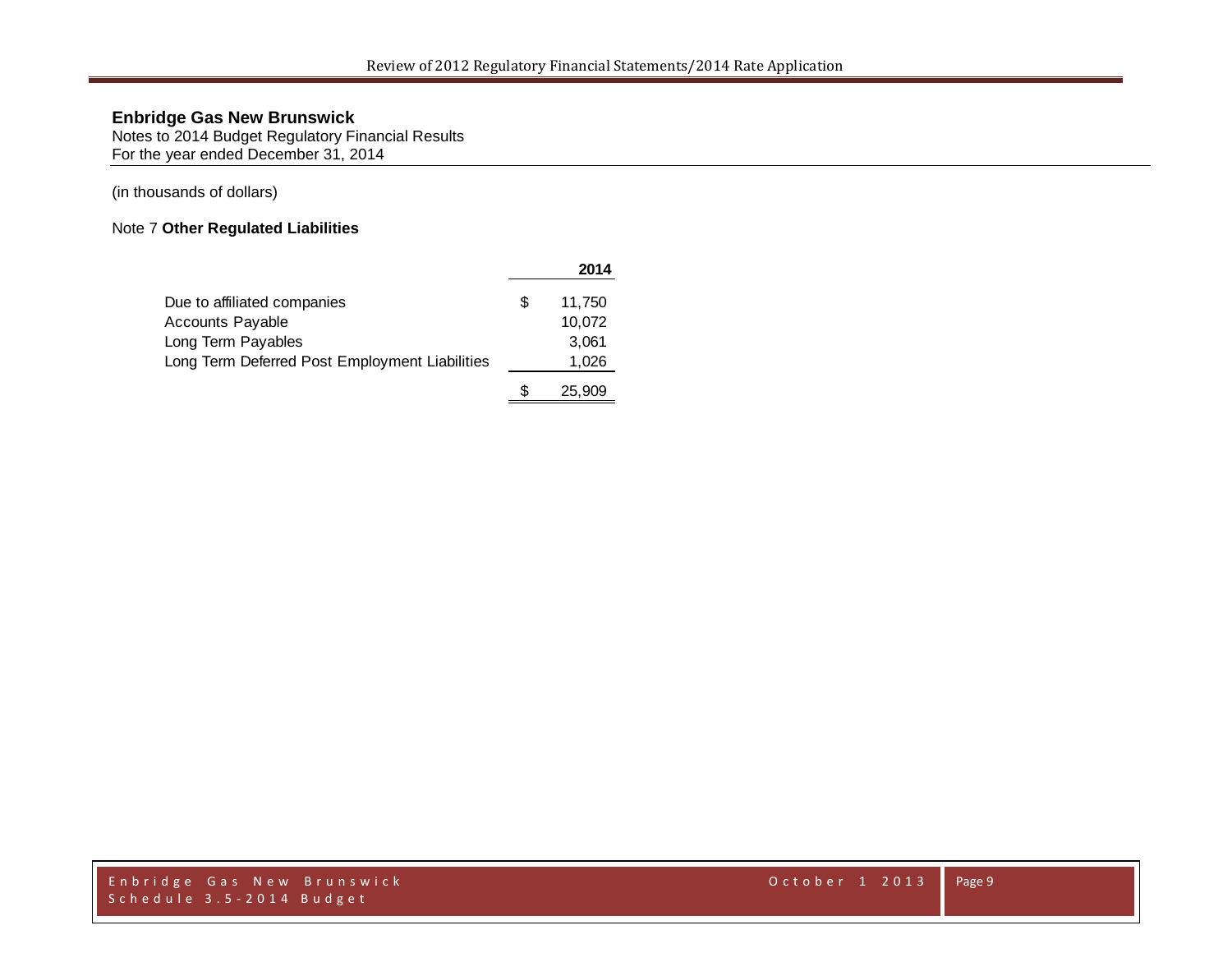Notes to 2014 Budget Regulatory Financial Results For the year ended December 31, 2014

(in thousands of dollars)

### Note 7 **Other Regulated Liabilities**

|                                                |   | 2014   |
|------------------------------------------------|---|--------|
| Due to affiliated companies                    | S | 11,750 |
| Accounts Payable                               |   | 10,072 |
| Long Term Payables                             |   | 3.061  |
| Long Term Deferred Post Employment Liabilities |   | 1,026  |
|                                                |   | 25,909 |

Enbridge Gas New Brunswick **Enderson Controller and Controller** 2013 S c h e d u l e 3.5 - 2014 B u d g e t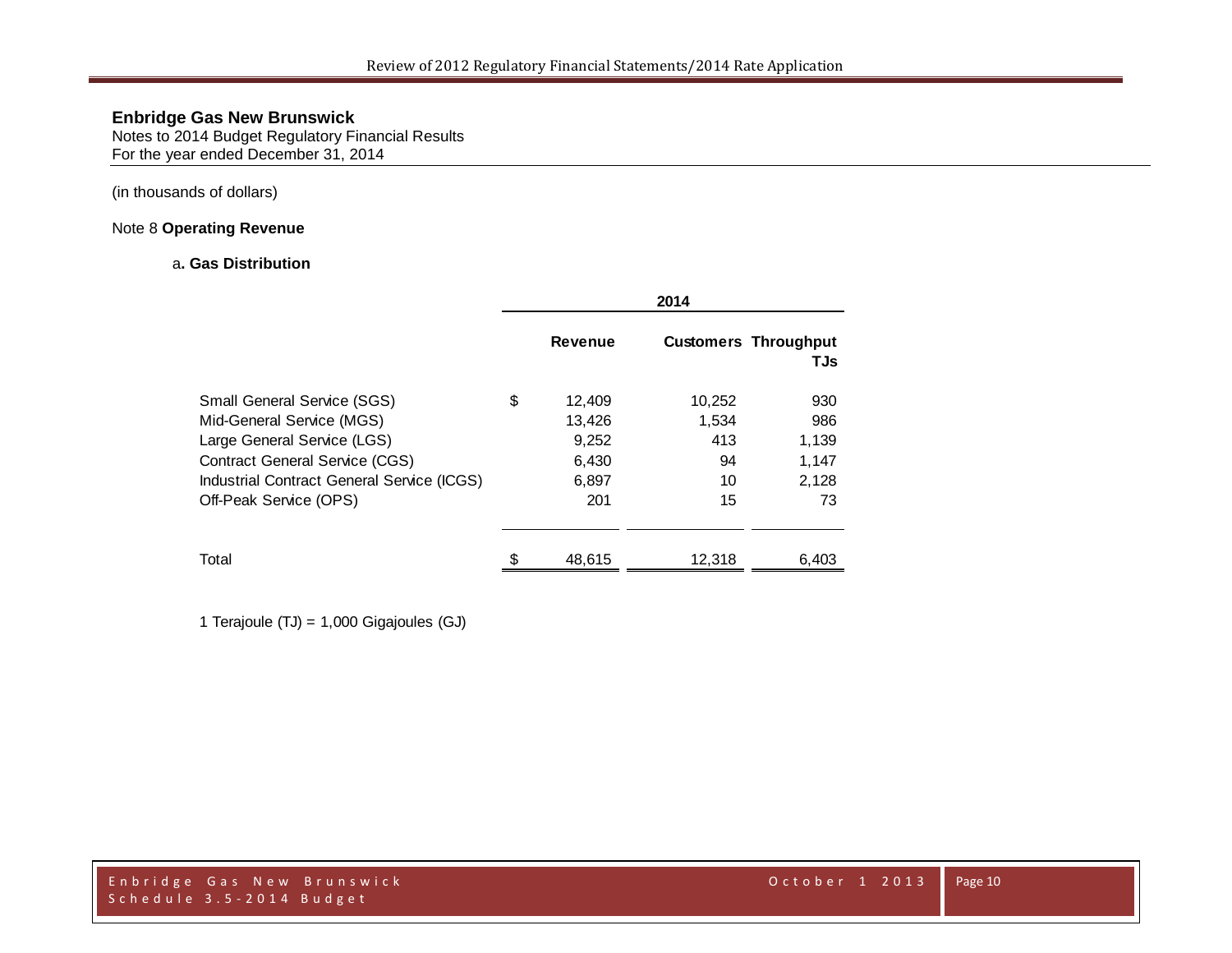Notes to 2014 Budget Regulatory Financial Results For the year ended December 31, 2014

### (in thousands of dollars)

### Note 8 **Operating Revenue**

### a**. Gas Distribution**

|                                                                                                                                                                                                                 | 2014 |                                                    |                                          |                                             |
|-----------------------------------------------------------------------------------------------------------------------------------------------------------------------------------------------------------------|------|----------------------------------------------------|------------------------------------------|---------------------------------------------|
|                                                                                                                                                                                                                 |      | <b>Revenue</b>                                     |                                          | <b>Customers Throughput</b><br>TJs          |
| <b>Small General Service (SGS)</b><br>Mid-General Service (MGS)<br>Large General Service (LGS)<br><b>Contract General Service (CGS)</b><br>Industrial Contract General Service (ICGS)<br>Off-Peak Service (OPS) | \$   | 12,409<br>13,426<br>9,252<br>6,430<br>6,897<br>201 | 10,252<br>1,534<br>413<br>94<br>10<br>15 | 930<br>986<br>1,139<br>1.147<br>2,128<br>73 |
| Total                                                                                                                                                                                                           | S    | 48,615                                             | 12,318                                   | 6,403                                       |

1 Terajoule (TJ) = 1,000 Gigajoules (GJ)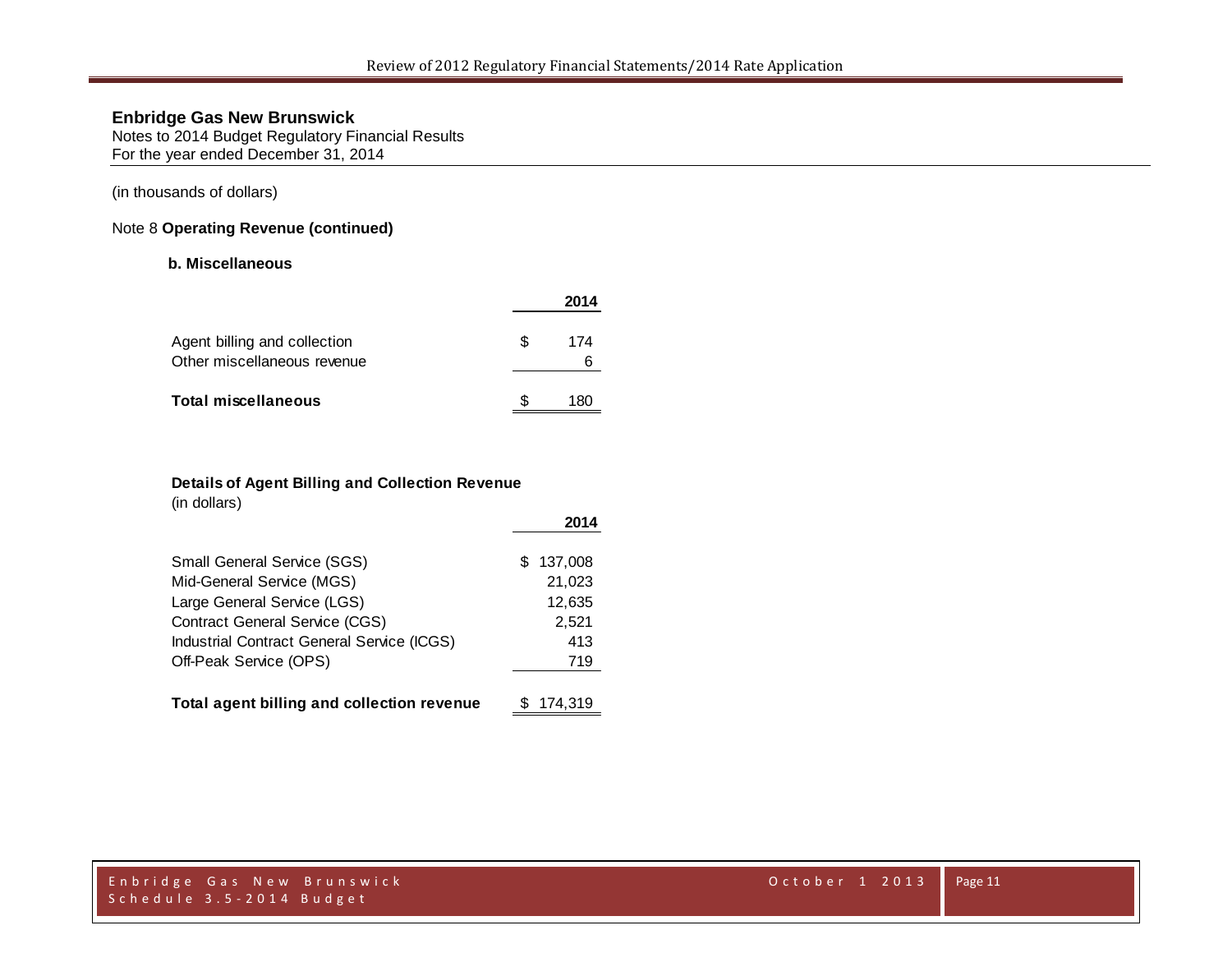Notes to 2014 Budget Regulatory Financial Results For the year ended December 31, 2014

(in thousands of dollars)

### Note 8 **Operating Revenue (continued)**

#### **b. Miscellaneous**

|                                                             |    | 2014     |
|-------------------------------------------------------------|----|----------|
| Agent billing and collection<br>Other miscellaneous revenue | S. | 174<br>ჩ |
| <b>Total miscellaneous</b>                                  |    | 180      |

#### **Details of Agent Billing and Collection Revenue**

(in dollars)

|                                            | 2014          |
|--------------------------------------------|---------------|
| Small General Service (SGS)                | 137,008<br>S. |
| Mid-General Service (MGS)                  | 21,023        |
| Large General Service (LGS)                | 12,635        |
| <b>Contract General Service (CGS)</b>      | 2,521         |
| Industrial Contract General Service (ICGS) | 413           |
| Off-Peak Service (OPS)                     | 719           |
| Total agent billing and collection revenue | 174.319       |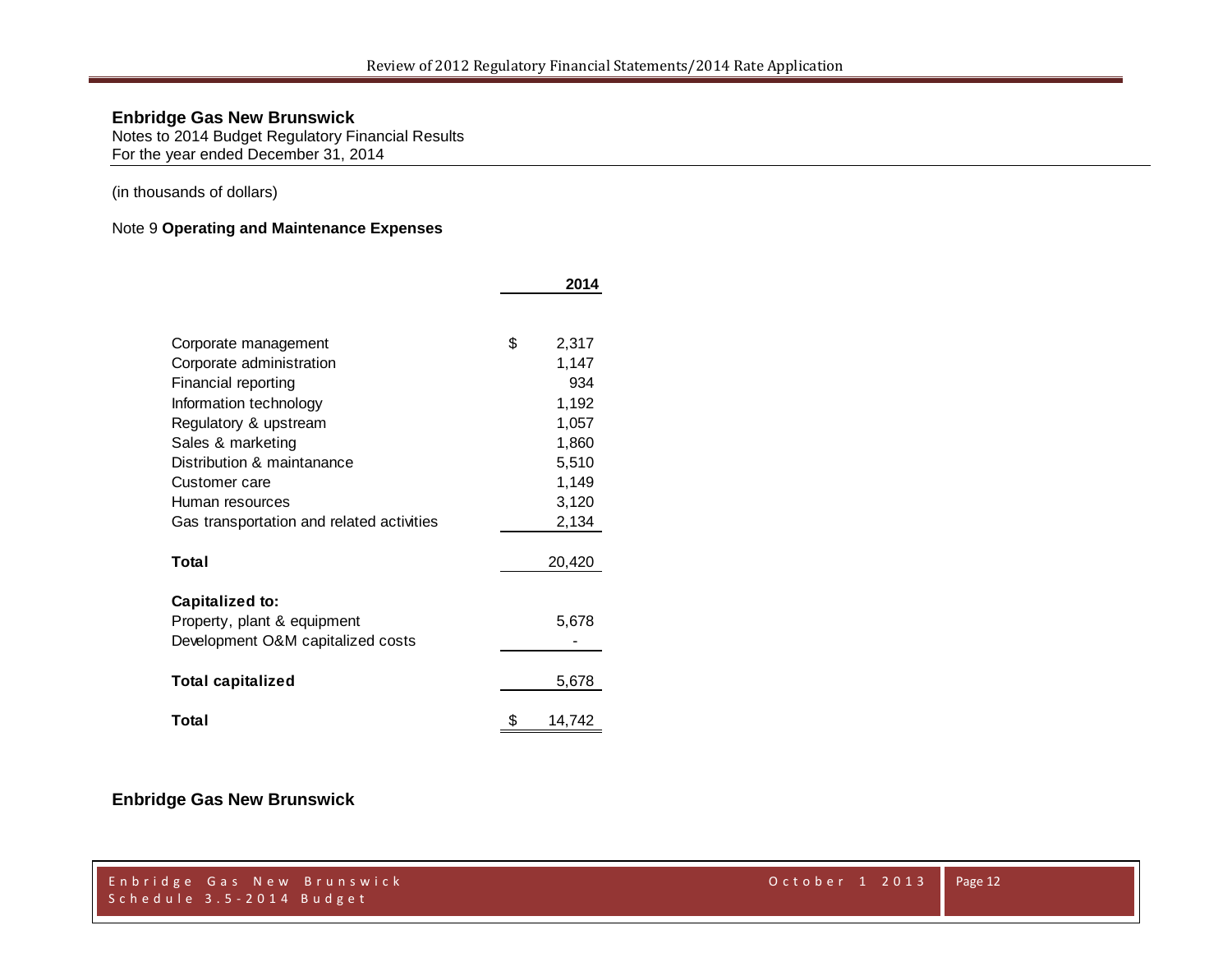**2014**

# **Enbridge Gas New Brunswick**

Notes to 2014 Budget Regulatory Financial Results For the year ended December 31, 2014

### (in thousands of dollars)

### Note 9 **Operating and Maintenance Expenses**

| Corporate management                      | \$<br>2,317  |
|-------------------------------------------|--------------|
| Corporate administration                  | 1,147        |
| Financial reporting                       | 934          |
| Information technology                    | 1,192        |
| Regulatory & upstream                     | 1,057        |
| Sales & marketing                         | 1,860        |
| Distribution & maintanance                | 5,510        |
| Customer care                             | 1,149        |
| Human resources                           | 3,120        |
| Gas transportation and related activities | 2,134        |
|                                           |              |
| Total                                     | 20,420       |
|                                           |              |
| Capitalized to:                           |              |
| Property, plant & equipment               | 5,678        |
| Development O&M capitalized costs         |              |
|                                           |              |
| <b>Total capitalized</b>                  | 5,678        |
| Total                                     | \$<br>14,742 |

# **Enbridge Gas New Brunswick**

|                          | Enbridge Gas New Brunswick |
|--------------------------|----------------------------|
| Schedule 3.5-2014 Budget |                            |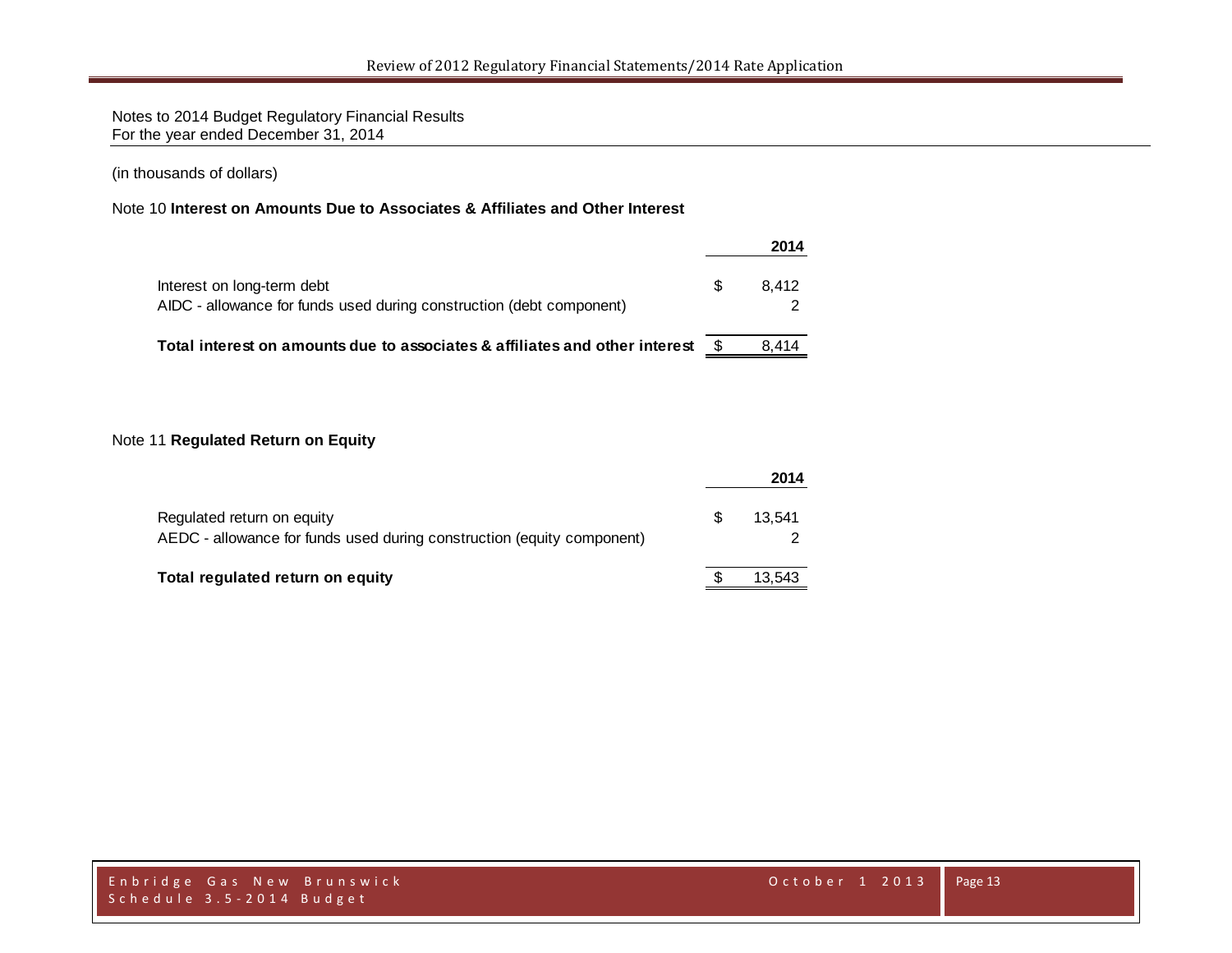Notes to 2014 Budget Regulatory Financial Results For the year ended December 31, 2014

(in thousands of dollars)

#### Note 10 **Interest on Amounts Due to Associates & Affiliates and Other Interest**

|                                                                                                    |   | 2014  |
|----------------------------------------------------------------------------------------------------|---|-------|
| Interest on long-term debt<br>AIDC - allowance for funds used during construction (debt component) | S | 8.412 |
| Total interest on amounts due to associates & affiliates and other interest                        |   | 8.414 |

### Note 11 **Regulated Return on Equity**

|                                                                                                      |     | 2014   |
|------------------------------------------------------------------------------------------------------|-----|--------|
| Regulated return on equity<br>AEDC - allowance for funds used during construction (equity component) | \$. | 13.541 |
| Total regulated return on equity                                                                     |     | 13.543 |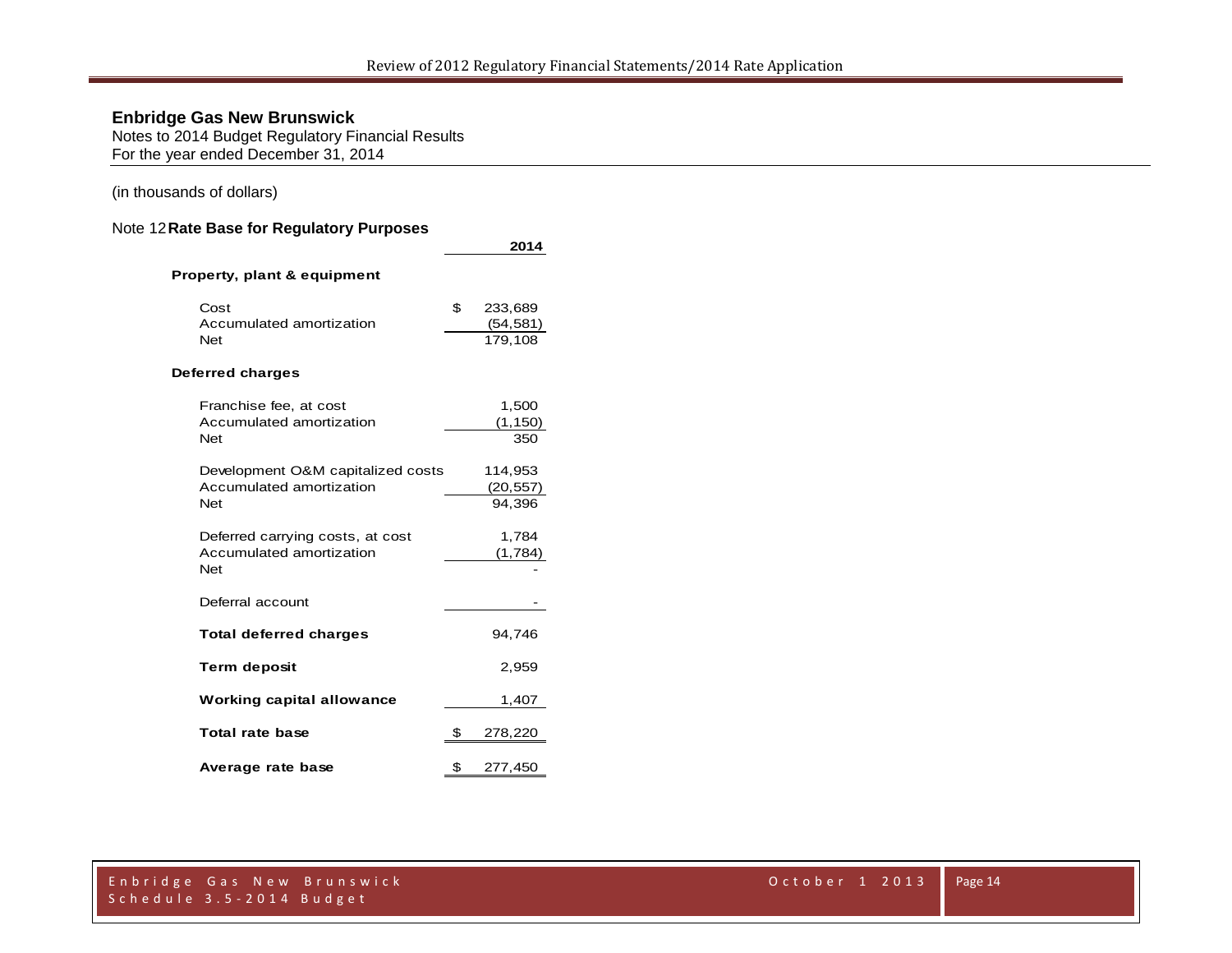Notes to 2014 Budget Regulatory Financial Results For the year ended December 31, 2014

#### (in thousands of dollars)

#### Note 12**Rate Base for Regulatory Purposes**

|                                                                             | 2014                                  |
|-----------------------------------------------------------------------------|---------------------------------------|
| Property, plant & equipment                                                 |                                       |
| Cost<br>Accumulated amortization<br><b>Net</b>                              | \$<br>233,689<br>(54, 581)<br>179,108 |
| Deferred charges                                                            |                                       |
| Franchise fee, at cost<br>Accumulated amortization<br><b>Net</b>            | 1,500<br>(1, 150)<br>350              |
| Development O&M capitalized costs<br>Accumulated amortization<br><b>Net</b> | 114,953<br>(20, 557)<br>94,396        |
| Deferred carrying costs, at cost<br>Accumulated amortization<br><b>Net</b>  | 1,784<br>(1,784)                      |
| Deferral account                                                            |                                       |
| <b>Total deferred charges</b>                                               | 94,746                                |
| <b>Term deposit</b>                                                         | 2,959                                 |
| <b>Working capital allowance</b>                                            | 1,407                                 |
| Total rate base                                                             | \$<br>278,220                         |
| Average rate base                                                           | \$<br>277,450                         |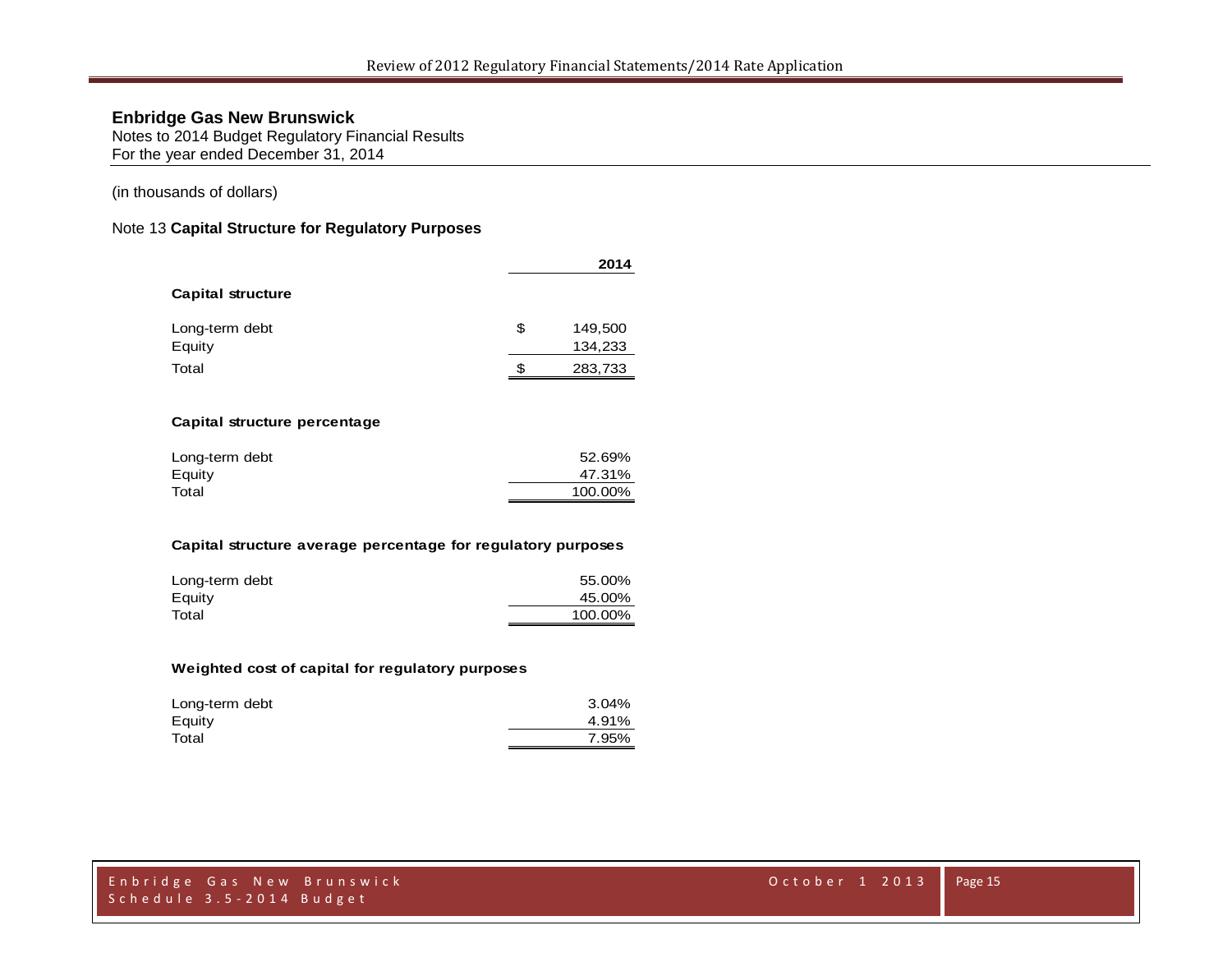Notes to 2014 Budget Regulatory Financial Results For the year ended December 31, 2014

#### (in thousands of dollars)

#### Note 13 **Capital Structure for Regulatory Purposes**

|                          |    | 2014               |
|--------------------------|----|--------------------|
| <b>Capital structure</b> |    |                    |
| Long-term debt<br>Equity | \$ | 149,500<br>134,233 |
| Total                    | S  | 283,733            |

#### **Capital structure percentage**

| Long-term debt | 52.69%  |
|----------------|---------|
| Equity         | 47.31%  |
| Total          | 100.00% |

#### **Capital structure average percentage for regulatory purposes**

| Long-term debt | 55.00%  |
|----------------|---------|
| Equity         | 45.00%  |
| Total          | 100.00% |

#### **Weighted cost of capital for regulatory purposes**

| Long-term debt | 3.04% |
|----------------|-------|
| Equity         | 4.91% |
| Total          | 7.95% |